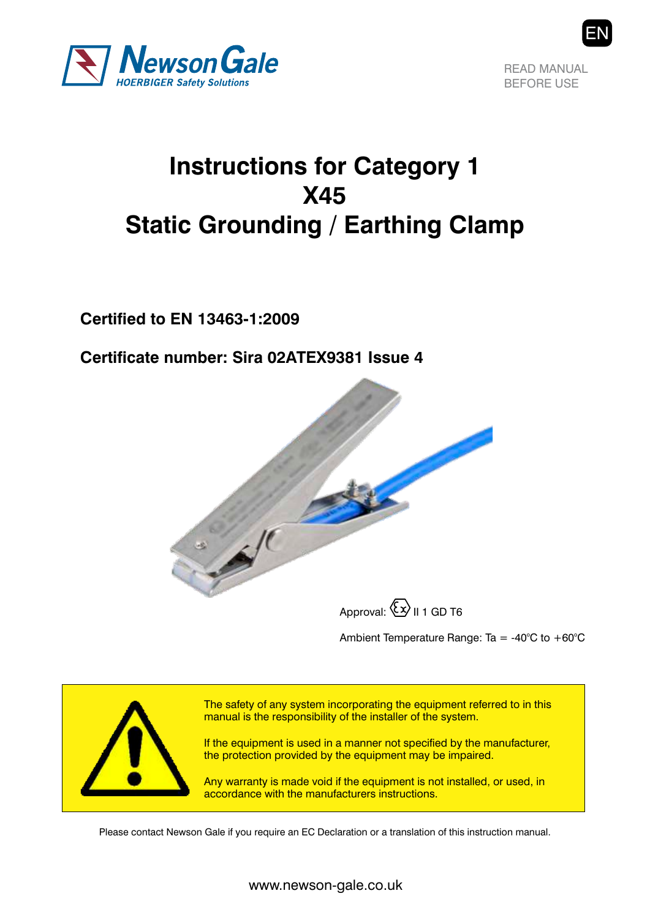

READ MANUAL BEFORE USE

## **Instructions for Category 1 X45 Static Grounding / Earthing Clamp**

**Certified to EN 13463-1:2009**

**Certificate number: Sira 02ATEX9381 Issue 4**



Approval:  $\langle x \rangle$  II 1 GD T6

Ambient Temperature Range: Ta = -40 $^{\circ}$ C to +60 $^{\circ}$ C



The safety of any system incorporating the equipment referred to in this manual is the responsibility of the installer of the system.

If the equipment is used in a manner not specified by the manufacturer, the protection provided by the equipment may be impaired.

Any warranty is made void if the equipment is not installed, or used, in accordance with the manufacturers instructions.

Please contact Newson Gale if you require an EC Declaration or a translation of this instruction manual.

www.newson-gale.co.uk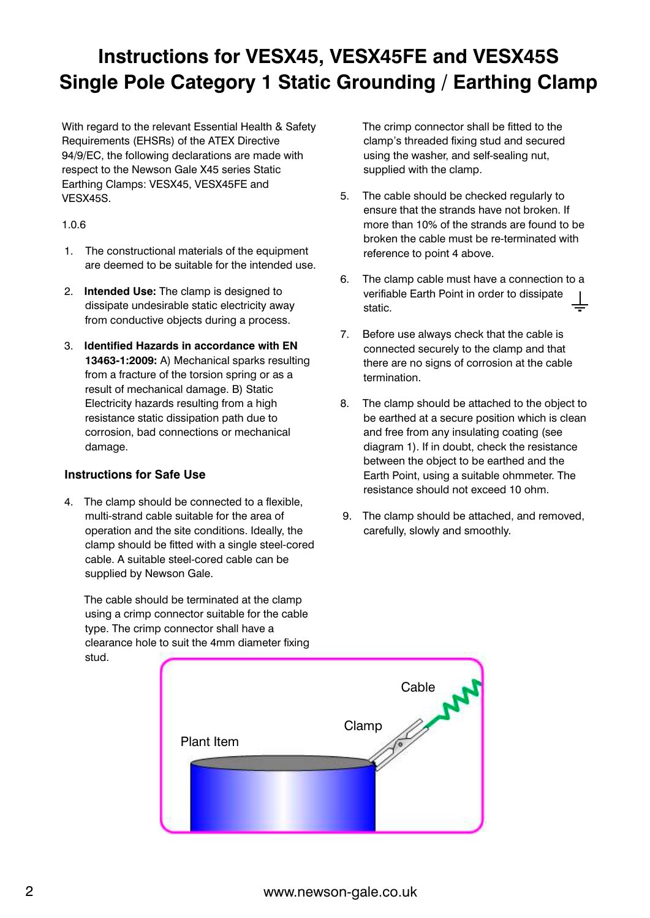### **Instructions for VESX45, VESX45FE and VESX45S Single Pole Category 1 Static Grounding / Earthing Clamp**

With regard to the relevant Essential Health & Safety Requirements (EHSRs) of the ATEX Directive 94/9/EC, the following declarations are made with respect to the Newson Gale X45 series Static Earthing Clamps: VESX45, VESX45FE and VESX45S.

#### 1.0.6

- 1. The constructional materials of the equipment are deemed to be suitable for the intended use.
- 2. **Intended Use:** The clamp is designed to dissipate undesirable static electricity away from conductive objects during a process.
- 3. **Identified Hazards in accordance with EN 13463-1:2009:** A) Mechanical sparks resulting from a fracture of the torsion spring or as a result of mechanical damage. B) Static Electricity hazards resulting from a high resistance static dissipation path due to corrosion, bad connections or mechanical damage.

#### **Instructions for Safe Use**

4. The clamp should be connected to a flexible, multi-strand cable suitable for the area of operation and the site conditions. Ideally, the clamp should be fitted with a single steel-cored cable. A suitable steel-cored cable can be supplied by Newson Gale.

 The cable should be terminated at the clamp using a crimp connector suitable for the cable type. The crimp connector shall have a clearance hole to suit the 4mm diameter fixing stud.

The crimp connector shall be fitted to the clamp's threaded fixing stud and secured using the washer, and self-sealing nut, supplied with the clamp.

- 5. The cable should be checked regularly to ensure that the strands have not broken. If more than 10% of the strands are found to be broken the cable must be re-terminated with reference to point 4 above.
- 6. The clamp cable must have a connection to a verifiable Earth Point in order to dissipate static.
- 7. Before use always check that the cable is connected securely to the clamp and that there are no signs of corrosion at the cable termination.
- 8. The clamp should be attached to the object to be earthed at a secure position which is clean and free from any insulating coating (see diagram 1). If in doubt, check the resistance between the object to be earthed and the Earth Point, using a suitable ohmmeter. The resistance should not exceed 10 ohm.
- 9. The clamp should be attached, and removed, carefully, slowly and smoothly.



2 www.newson-gale.co.uk www.newson-gale.co.uk 3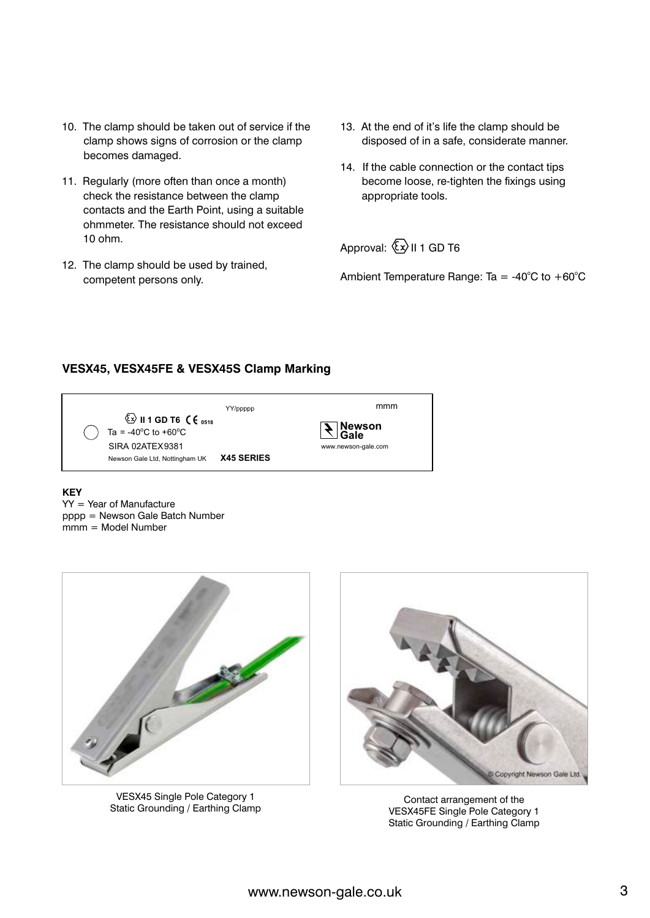- 10. The clamp should be taken out of service if the clamp shows signs of corrosion or the clamp becomes damaged.
- 11. Regularly (more often than once a month) check the resistance between the clamp contacts and the Earth Point, using a suitable ohmmeter. The resistance should not exceed 10 ohm.
- 12. The clamp should be used by trained, competent persons only.
- 13. At the end of it's life the clamp should be disposed of in a safe, considerate manner.
- 14. If the cable connection or the contact tips become loose, re-tighten the fixings using appropriate tools.

Approval:  $\langle x \rangle$  II 1 GD T6

Ambient Temperature Range: Ta = -40 $^{\circ}$ C to +60 $^{\circ}$ C

#### **VESX45, VESX45FE & VESX45S Clamp Marking**

|                                                                                                         | YY/ppppp          | mmm                    |
|---------------------------------------------------------------------------------------------------------|-------------------|------------------------|
| $\circled{2}$ II 1 GD T6 $\circ$ ( $\circ$ <sub>0518</sub><br>Ta = -40 $^{\circ}$ C to +60 $^{\circ}$ C |                   | $\sum_{\mathsf{Gale}}$ |
| SIRA 02ATEX9381<br>Newson Gale Ltd, Nottingham UK                                                       | <b>X45 SERIES</b> | www.newson-gale.com    |

#### **KEY**

YY = Year of Manufacture pppp = Newson Gale Batch Number mmm = Model Number



VESX45 Single Pole Category 1 Static Grounding / Earthing Clamp



Contact arrangement of the VESX45FE Single Pole Category 1 Static Grounding / Earthing Clamp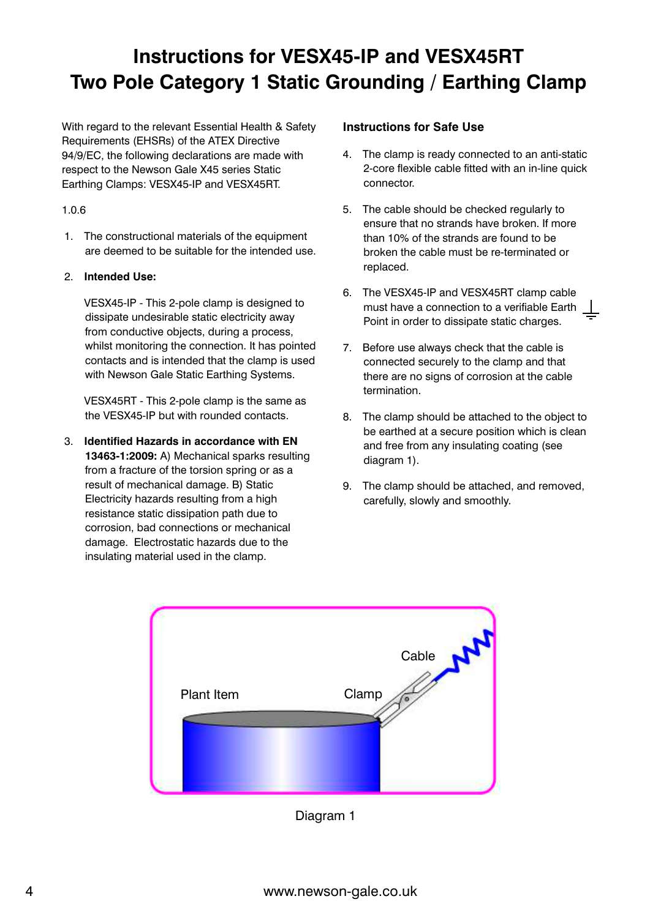### **Instructions for VESX45-IP and VESX45RT Two Pole Category 1 Static Grounding / Earthing Clamp**

With regard to the relevant Essential Health & Safety Requirements (EHSRs) of the ATEX Directive 94/9/EC, the following declarations are made with respect to the Newson Gale X45 series Static Earthing Clamps: VESX45-IP and VESX45RT.

#### 1.0.6

1. The constructional materials of the equipment are deemed to be suitable for the intended use.

#### 2. **Intended Use:**

VESX45-IP - This 2-pole clamp is designed to dissipate undesirable static electricity away from conductive objects, during a process, whilst monitoring the connection. It has pointed contacts and is intended that the clamp is used with Newson Gale Static Earthing Systems.

VESX45RT - This 2-pole clamp is the same as the VESX45-IP but with rounded contacts.

3. **Identified Hazards in accordance with EN 13463-1:2009:** A) Mechanical sparks resulting from a fracture of the torsion spring or as a result of mechanical damage. B) Static Electricity hazards resulting from a high resistance static dissipation path due to corrosion, bad connections or mechanical damage. Electrostatic hazards due to the insulating material used in the clamp.

#### **Instructions for Safe Use**

- 4. The clamp is ready connected to an anti-static 2-core flexible cable fitted with an in-line quick connector.
- 5. The cable should be checked regularly to ensure that no strands have broken. If more than 10% of the strands are found to be broken the cable must be re-terminated or replaced.
- 6. The VESX45-IP and VESX45RT clamp cable must have a connection to a verifiable Earth Point in order to dissipate static charges.
- 7. Before use always check that the cable is connected securely to the clamp and that there are no signs of corrosion at the cable termination.
- 8. The clamp should be attached to the object to be earthed at a secure position which is clean and free from any insulating coating (see diagram 1).
- 9. The clamp should be attached, and removed, carefully, slowly and smoothly.



Diagram 1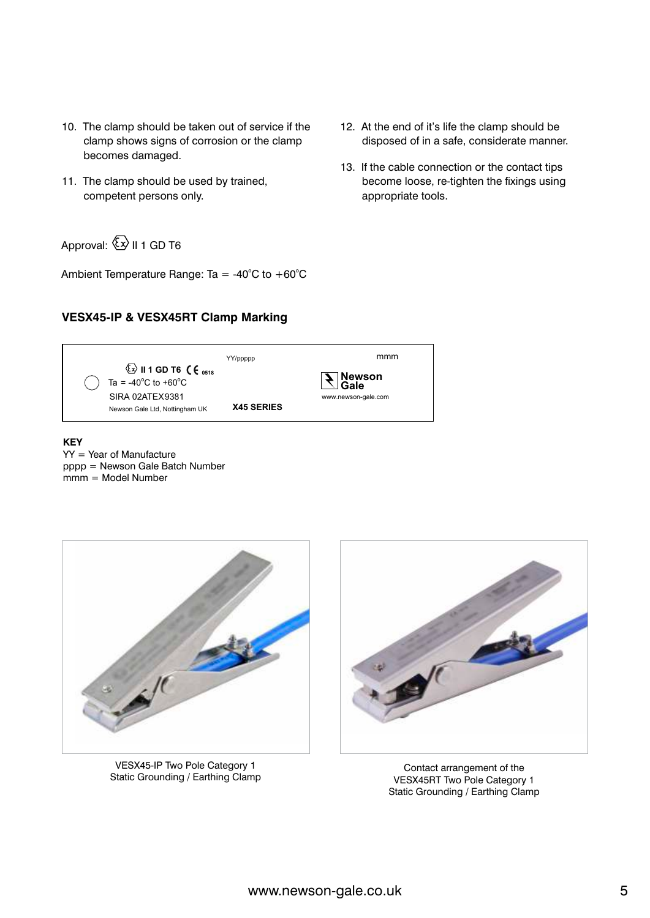- 10. The clamp should be taken out of service if the clamp shows signs of corrosion or the clamp becomes damaged.
- 11. The clamp should be used by trained, competent persons only.

Approval:  $\overline{\mathbb{Q}}$  II 1 GD T6

Ambient Temperature Range: Ta =  $-40^{\circ}$ C to  $+60^{\circ}$ C

#### **VESX45-IP & VESX45RT Clamp Marking**

- 12. At the end of it's life the clamp should be disposed of in a safe, considerate manner.
- 13. If the cable connection or the contact tips become loose, re-tighten the fixings using appropriate tools.

Newson Gale Ltd, Nottingham UK SIRA 02ATEX9381 www.newson-gale.com **E** II 1 **GD** T6  $\left(\begin{array}{c} 1 \\ 6 \end{array}\right)$ YY/ppppp Ta =  $-40^{\circ}$ C to  $+60^{\circ}$ C **<sup>0518</sup> Newson Gale** mmm **X45 SERIES**

**KEY** YY = Year of Manufacture pppp = Newson Gale Batch Number mmm = Model Number



VESX45-IP Two Pole Category 1 Static Grounding / Earthing Clamp



Contact arrangement of the VESX45RT Two Pole Category 1 Static Grounding / Earthing Clamp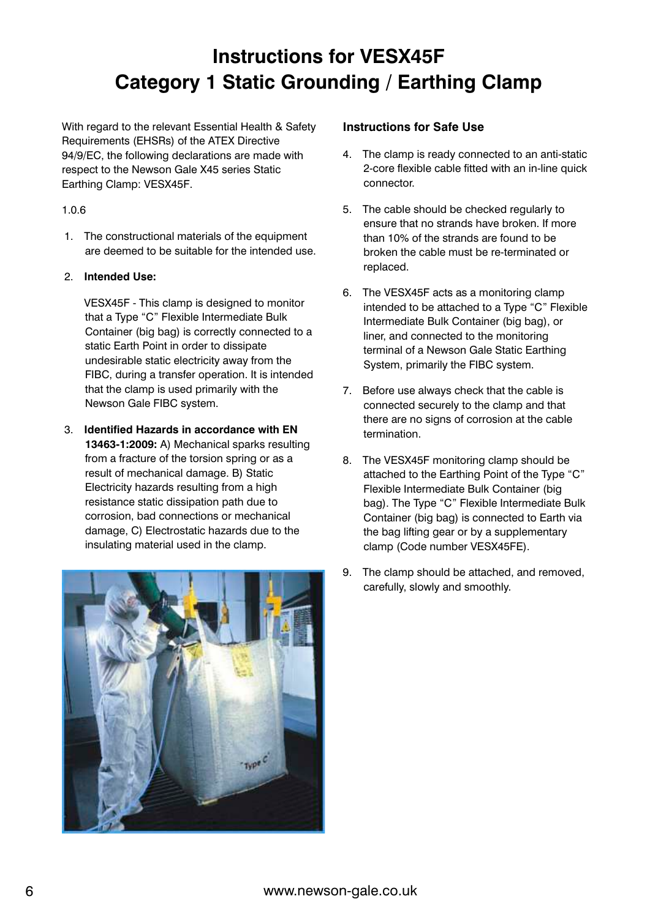### **Instructions for VESX45F Category 1 Static Grounding / Earthing Clamp**

With regard to the relevant Essential Health & Safety Requirements (EHSRs) of the ATEX Directive 94/9/EC, the following declarations are made with respect to the Newson Gale X45 series Static Earthing Clamp: VESX45F.

#### 1.0.6

1. The constructional materials of the equipment are deemed to be suitable for the intended use.

#### 2. **Intended Use:**

VESX45F - This clamp is designed to monitor that a Type "C" Flexible Intermediate Bulk Container (big bag) is correctly connected to a static Earth Point in order to dissipate undesirable static electricity away from the FIBC, during a transfer operation. It is intended that the clamp is used primarily with the Newson Gale FIBC system.

3. **Identified Hazards in accordance with EN 13463-1:2009:** A) Mechanical sparks resulting from a fracture of the torsion spring or as a result of mechanical damage. B) Static Electricity hazards resulting from a high resistance static dissipation path due to corrosion, bad connections or mechanical damage, C) Electrostatic hazards due to the insulating material used in the clamp.



#### **Instructions for Safe Use**

- 4. The clamp is ready connected to an anti-static 2-core flexible cable fitted with an in-line quick connector.
- 5. The cable should be checked regularly to ensure that no strands have broken. If more than 10% of the strands are found to be broken the cable must be re-terminated or replaced.
- 6. The VESX45F acts as a monitoring clamp intended to be attached to a Type "C" Flexible Intermediate Bulk Container (big bag), or liner, and connected to the monitoring terminal of a Newson Gale Static Earthing System, primarily the FIBC system.
- 7. Before use always check that the cable is connected securely to the clamp and that there are no signs of corrosion at the cable termination.
- 8. The VESX45F monitoring clamp should be attached to the Earthing Point of the Type "C" Flexible Intermediate Bulk Container (big bag). The Type "C" Flexible Intermediate Bulk Container (big bag) is connected to Earth via the bag lifting gear or by a supplementary clamp (Code number VESX45FE).
- 9. The clamp should be attached, and removed, carefully, slowly and smoothly.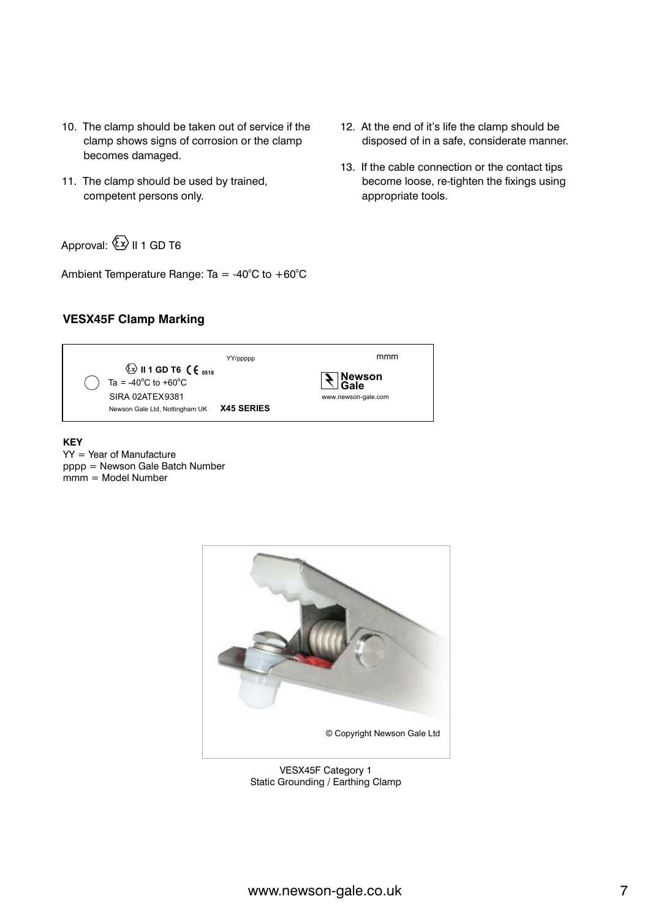- 10. The clamp should be taken out of service if the clamp shows signs of corrosion or the clamp becomes damaged.
- 11. The clamp should be used by trained, competent persons only.
- Approval:  $\overline{\mathbb{Q}}$  II 1 GD T6

Ambient Temperature Range: Ta =  $-40^{\circ}$ C to  $+60^{\circ}$ C

#### **VESX45F Clamp Marking**



YY = Year of Manufacture pppp = Newson Gale Batch Number mmm = Model Number



VESX45F Category 1 Static Grounding / Earthing Clamp

- 12. At the end of it's life the clamp should be disposed of in a safe, considerate manner.
- 13. If the cable connection or the contact tips become loose, re-tighten the fixings using appropriate tools.